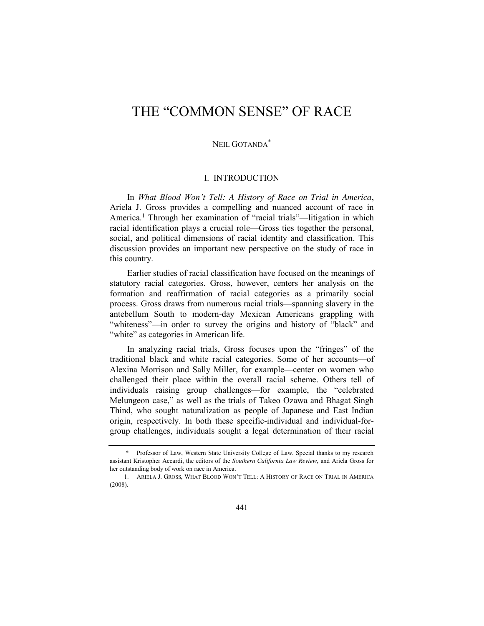# THE "COMMON SENSE" OF RACE

## NEIL GOTANDA\*

### I. INTRODUCTION

<span id="page-0-0"></span>In *What Blood Won't Tell: A History of Race on Trial in America*, Ariela J. Gross provides a compelling and nuanced account of race in America.<sup>1</sup> Through her examination of "racial trials"—litigation in which racial identification plays a crucial role—Gross ties together the personal, social, and political dimensions of racial identity and classification. This discussion provides an important new perspective on the study of race in this country.

Earlier studies of racial classification have focused on the meanings of statutory racial categories. Gross, however, centers her analysis on the formation and reaffirmation of racial categories as a primarily social process. Gross draws from numerous racial trials—spanning slavery in the antebellum South to modern-day Mexican Americans grappling with "whiteness"—in order to survey the origins and history of "black" and "white" as categories in American life.

In analyzing racial trials, Gross focuses upon the "fringes" of the traditional black and white racial categories. Some of her accounts—of Alexina Morrison and Sally Miller, for example—center on women who challenged their place within the overall racial scheme. Others tell of individuals raising group challenges—for example, the "celebrated Melungeon case," as well as the trials of Takeo Ozawa and Bhagat Singh Thind, who sought naturalization as people of Japanese and East Indian origin, respectively. In both these specific-individual and individual-forgroup challenges, individuals sought a legal determination of their racial

<sup>\*</sup> Professor of Law, Western State University College of Law. Special thanks to my research assistant Kristopher Accardi, the editors of the *Southern California Law Review*, and Ariela Gross for her outstanding body of work on race in America.

<sup>1.</sup> ARIELA J. GROSS, WHAT BLOOD WON'T TELL: A HISTORY OF RACE ON TRIAL IN AMERICA (2008).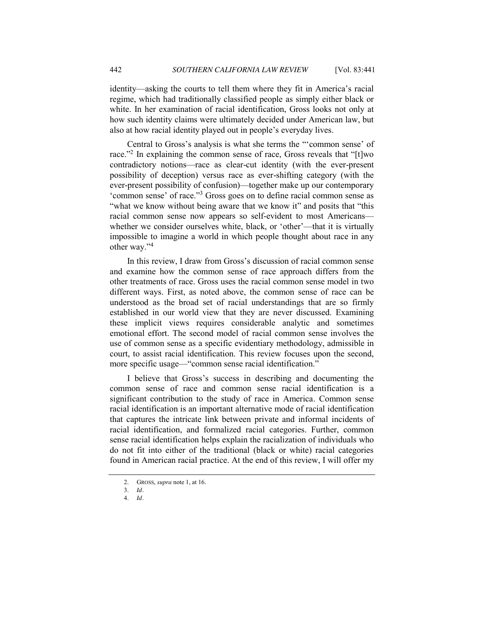identity—asking the courts to tell them where they fit in America's racial regime, which had traditionally classified people as simply either black or white. In her examination of racial identification, Gross looks not only at how such identity claims were ultimately decided under American law, but also at how racial identity played out in people's everyday lives.

Central to Gross's analysis is what she terms the ""common sense' of race."<sup>2</sup> In explaining the common sense of race, Gross reveals that " $[t]$ wo contradictory notions—race as clear-cut identity (with the ever-present possibility of deception) versus race as ever-shifting category (with the ever-present possibility of confusion)—together make up our contemporary 'common sense' of race."<sup>3</sup> Gross goes on to define racial common sense as "what we know without being aware that we know it" and posits that "this" racial common sense now appears so self-evident to most Americans whether we consider ourselves white, black, or 'other'—that it is virtually impossible to imagine a world in which people thought about race in any other way."<sup>4</sup>

In this review, I draw from Gross's discussion of racial common sense and examine how the common sense of race approach differs from the other treatments of race. Gross uses the racial common sense model in two different ways. First, as noted above, the common sense of race can be understood as the broad set of racial understandings that are so firmly established in our world view that they are never discussed. Examining these implicit views requires considerable analytic and sometimes emotional effort. The second model of racial common sense involves the use of common sense as a specific evidentiary methodology, admissible in court, to assist racial identification. This review focuses upon the second, more specific usage—"common sense racial identification."

I believe that Gross's success in describing and documenting the common sense of race and common sense racial identification is a significant contribution to the study of race in America. Common sense racial identification is an important alternative mode of racial identification that captures the intricate link between private and informal incidents of racial identification, and formalized racial categories. Further, common sense racial identification helps explain the racialization of individuals who do not fit into either of the traditional (black or white) racial categories found in American racial practice. At the end of this review, I will offer my

<sup>2.</sup> GROSS, *supra* not[e 1,](#page-0-0) at 16.

<sup>3.</sup> *Id.*

<sup>4.</sup> *Id.*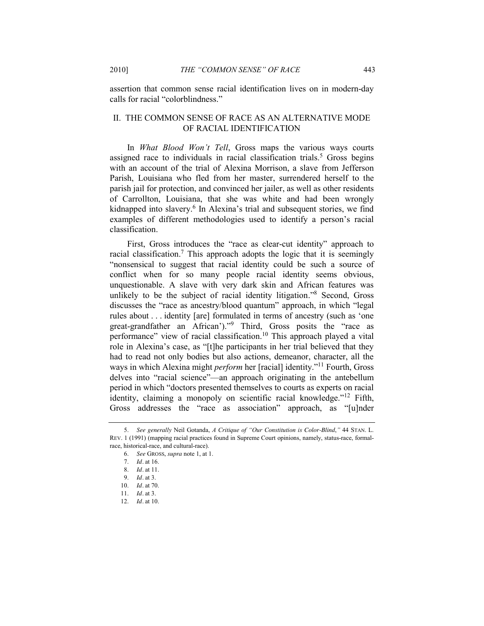assertion that common sense racial identification lives on in modern-day calls for racial "colorblindness."

### II. THE COMMON SENSE OF RACE AS AN ALTERNATIVE MODE OF RACIAL IDENTIFICATION

<span id="page-2-0"></span>In *What Blood Won't Tell*, Gross maps the various ways courts assigned race to individuals in racial classification trials.<sup>5</sup> Gross begins with an account of the trial of Alexina Morrison, a slave from Jefferson Parish, Louisiana who fled from her master, surrendered herself to the parish jail for protection, and convinced her jailer, as well as other residents of Carrollton, Louisiana, that she was white and had been wrongly kidnapped into slavery.<sup>6</sup> In Alexina's trial and subsequent stories, we find examples of different methodologies used to identify a person's racial classification.

First, Gross introduces the "race as clear-cut identity" approach to racial classification. <sup>7</sup> This approach adopts the logic that it is seemingly ―nonsensical to suggest that racial identity could be such a source of conflict when for so many people racial identity seems obvious, unquestionable. A slave with very dark skin and African features was unlikely to be the subject of racial identity litigation.<sup>98</sup> Second, Gross discusses the "race as ancestry/blood quantum" approach, in which "legal rules about . . . identity [are] formulated in terms of ancestry (such as 'one great-grandfather an African')."<sup>9</sup> Third, Gross posits the "race as performance" view of racial classification.<sup>10</sup> This approach played a vital role in Alexina's case, as "[t]he participants in her trial believed that they had to read not only bodies but also actions, demeanor, character, all the ways in which Alexina might *perform* her [racial] identity."<sup>11</sup> Fourth, Gross delves into "racial science"—an approach originating in the antebellum period in which "doctors presented themselves to courts as experts on racial identity, claiming a monopoly on scientific racial knowledge."<sup>12</sup> Fifth, Gross addresses the "race as association" approach, as "[u]nder

<sup>5.</sup> *See generally* Neil Gotanda, *A Critique of "Our Constitution is Color-Blind*,*"* 44 STAN. L. REV. 1 (1991) (mapping racial practices found in Supreme Court opinions, namely, status-race, formalrace, historical-race, and cultural-race).

<sup>6.</sup> *See* GROSS, *supra* not[e 1,](#page-0-0) at 1.

<sup>7.</sup> *Id.* at 16.

<sup>8.</sup> *Id.* at 11.

<sup>9.</sup> *Id.* at 3.

<sup>10.</sup> *Id.* at 70.

<sup>11.</sup> *Id.* at 3.

<sup>12.</sup> *Id.* at 10.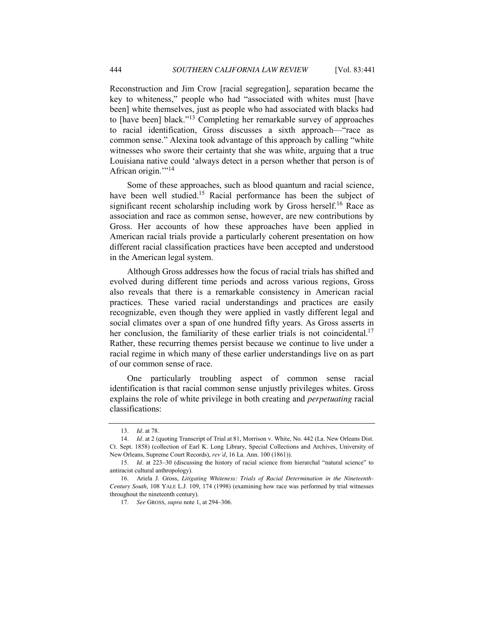Reconstruction and Jim Crow [racial segregation], separation became the key to whiteness," people who had "associated with whites must [have been] white themselves, just as people who had associated with blacks had to [have been] black."<sup>13</sup> Completing her remarkable survey of approaches to racial identification, Gross discusses a sixth approach—"race as common sense." Alexina took advantage of this approach by calling "white witnesses who swore their certainty that she was white, arguing that a true Louisiana native could 'always detect in a person whether that person is of African origin. $114$ 

Some of these approaches, such as blood quantum and racial science, have been well studied.<sup>15</sup> Racial performance has been the subject of significant recent scholarship including work by Gross herself.<sup>16</sup> Race as association and race as common sense, however, are new contributions by Gross. Her accounts of how these approaches have been applied in American racial trials provide a particularly coherent presentation on how different racial classification practices have been accepted and understood in the American legal system.

Although Gross addresses how the focus of racial trials has shifted and evolved during different time periods and across various regions, Gross also reveals that there is a remarkable consistency in American racial practices. These varied racial understandings and practices are easily recognizable, even though they were applied in vastly different legal and social climates over a span of one hundred fifty years. As Gross asserts in her conclusion, the familiarity of these earlier trials is not coincidental.<sup>17</sup> Rather, these recurring themes persist because we continue to live under a racial regime in which many of these earlier understandings live on as part of our common sense of race.

One particularly troubling aspect of common sense racial identification is that racial common sense unjustly privileges whites. Gross explains the role of white privilege in both creating and *perpetuating* racial classifications:

<sup>13.</sup> *Id.* at 78.

<sup>14.</sup> *Id.* at 2 (quoting Transcript of Trial at 81, Morrison v. White, No. 442 (La. New Orleans Dist. Ct. Sept. 1858) (collection of Earl K. Long Library, Special Collections and Archives, University of New Orleans, Supreme Court Records), *rev'd*, 16 La. Ann. 100 (1861)).

<sup>15.</sup> *Id.* at 223–30 (discussing the history of racial science from hierarchal "natural science" to antiracist cultural anthropology).

<sup>16.</sup> Ariela J. Gross, *Litigating Whiteness: Trials of Racial Determination in the Nineteenth-Century South*, 108 YALE L.J. 109, 174 (1998) (examining how race was performed by trial witnesses throughout the nineteenth century).

<sup>17.</sup> *See* GROSS, *supra* not[e 1,](#page-0-0) at 294–306.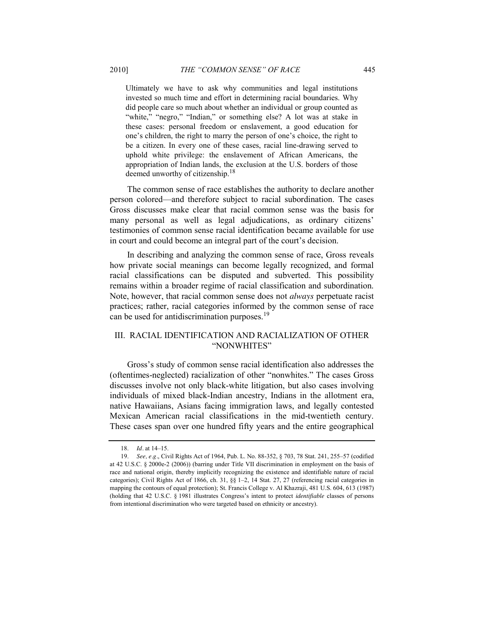Ultimately we have to ask why communities and legal institutions invested so much time and effort in determining racial boundaries. Why did people care so much about whether an individual or group counted as "white," "negro," "Indian," or something else? A lot was at stake in these cases: personal freedom or enslavement, a good education for one's children, the right to marry the person of one's choice, the right to be a citizen. In every one of these cases, racial line-drawing served to uphold white privilege: the enslavement of African Americans, the appropriation of Indian lands, the exclusion at the U.S. borders of those deemed unworthy of citizenship.<sup>18</sup>

The common sense of race establishes the authority to declare another person colored—and therefore subject to racial subordination. The cases Gross discusses make clear that racial common sense was the basis for many personal as well as legal adjudications, as ordinary citizens' testimonies of common sense racial identification became available for use in court and could become an integral part of the court's decision.

In describing and analyzing the common sense of race, Gross reveals how private social meanings can become legally recognized, and formal racial classifications can be disputed and subverted. This possibility remains within a broader regime of racial classification and subordination. Note, however, that racial common sense does not *always* perpetuate racist practices; rather, racial categories informed by the common sense of race can be used for antidiscrimination purposes.<sup>19</sup>

#### III. RACIAL IDENTIFICATION AND RACIALIZATION OF OTHER "NONWHITES"

Gross's study of common sense racial identification also addresses the (oftentimes-neglected) racialization of other "nonwhites." The cases Gross discusses involve not only black-white litigation, but also cases involving individuals of mixed black-Indian ancestry, Indians in the allotment era, native Hawaiians, Asians facing immigration laws, and legally contested Mexican American racial classifications in the mid-twentieth century. These cases span over one hundred fifty years and the entire geographical

<sup>18.</sup> *Id.* at 14–15.

<sup>19.</sup> *See, e.g.*, Civil Rights Act of 1964, Pub. L. No. 88-352, § 703, 78 Stat. 241, 255–57 (codified at 42 U.S.C. § 2000e-2 (2006)) (barring under Title VII discrimination in employment on the basis of race and national origin, thereby implicitly recognizing the existence and identifiable nature of racial categories); Civil Rights Act of 1866, ch. 31, §§ 1–2, 14 Stat. 27, 27 (referencing racial categories in mapping the contours of equal protection); St. Francis College v. Al Khazraji, 481 U.S. 604, 613 (1987) (holding that 42 U.S.C. § 1981 illustrates Congress's intent to protect *identifiable* classes of persons from intentional discrimination who were targeted based on ethnicity or ancestry).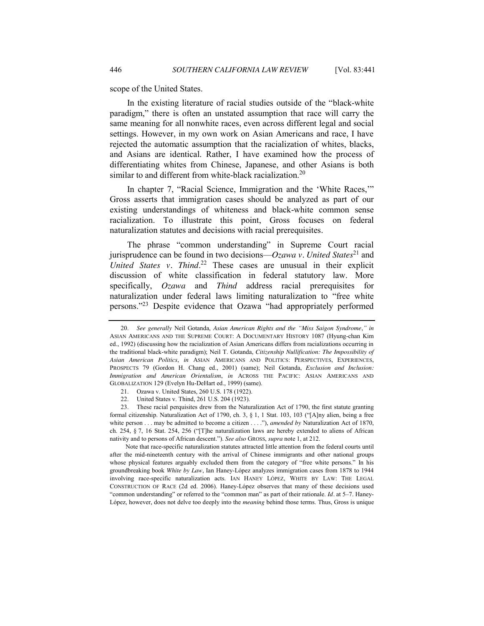scope of the United States.

In the existing literature of racial studies outside of the "black-white" paradigm," there is often an unstated assumption that race will carry the same meaning for all nonwhite races, even across different legal and social settings. However, in my own work on Asian Americans and race, I have rejected the automatic assumption that the racialization of whites, blacks, and Asians are identical. Rather, I have examined how the process of differentiating whites from Chinese, Japanese, and other Asians is both similar to and different from white-black racialization.<sup>20</sup>

In chapter 7, "Racial Science, Immigration and the 'White Races," Gross asserts that immigration cases should be analyzed as part of our existing understandings of whiteness and black-white common sense racialization. To illustrate this point, Gross focuses on federal naturalization statutes and decisions with racial prerequisites.

The phrase "common understanding" in Supreme Court racial jurisprudence can be found in two decisions— $Ozawa$  v. United States<sup>21</sup> and *United States v. Thind*. <sup>22</sup> These cases are unusual in their explicit discussion of white classification in federal statutory law. More specifically, *Ozawa* and *Thind* address racial prerequisites for naturalization under federal laws limiting naturalization to "free white persons."<sup>23</sup> Despite evidence that Ozawa "had appropriately performed

Note that race-specific naturalization statutes attracted little attention from the federal courts until after the mid-nineteenth century with the arrival of Chinese immigrants and other national groups whose physical features arguably excluded them from the category of "free white persons." In his groundbreaking book *White by Law*, Ian Haney-López analyzes immigration cases from 1878 to 1944 involving race-specific naturalization acts. IAN HANEY LÓPEZ, WHITE BY LAW: THE LEGAL CONSTRUCTION OF RACE (2d ed. 2006). Haney-López observes that many of these decisions used "common understanding" or referred to the "common man" as part of their rationale. *Id.* at 5–7. Haney-López, however, does not delve too deeply into the *meaning* behind those terms. Thus, Gross is unique

<sup>20.</sup> *See generally* Neil Gotanda, *Asian American Rights and the "Miss Saigon Syndrome*,*" in*  ASIAN AMERICANS AND THE SUPREME COURT: A DOCUMENTARY HISTORY 1087 (Hyung-chan Kim ed., 1992) (discussing how the racialization of Asian Americans differs from racializations occurring in the traditional black-white paradigm); Neil T. Gotanda, *Citizenship Nullification: The Impossibility of Asian American Politics*, *in* ASIAN AMERICANS AND POLITICS: PERSPECTIVES, EXPERIENCES, PROSPECTS 79 (Gordon H. Chang ed., 2001) (same); Neil Gotanda, *Exclusion and Inclusion: Immigration and American Orientalism*, *in* ACROSS THE PACIFIC: ASIAN AMERICANS AND GLOBALIZATION 129 (Evelyn Hu-DeHart ed., 1999) (same).

<sup>21.</sup> Ozawa v. United States, 260 U.S. 178 (1922).

<sup>22.</sup> United States v. Thind, 261 U.S. 204 (1923).

<sup>23.</sup> These racial perquisites drew from the Naturalization Act of 1790, the first statute granting formal citizenship. Naturalization Act of 1790, ch. 3,  $\S$  1, 1 Stat. 103, 103 ("[A]ny alien, being a free white person . . . may be admitted to become a citizen . . . ."), *amended by* Naturalization Act of 1870, ch. 254, § 7, 16 Stat. 254, 256 ("[T]he naturalization laws are hereby extended to aliens of African nativity and to persons of African descent."). *See also* GROSS, *supra* not[e 1,](#page-0-0) at 212.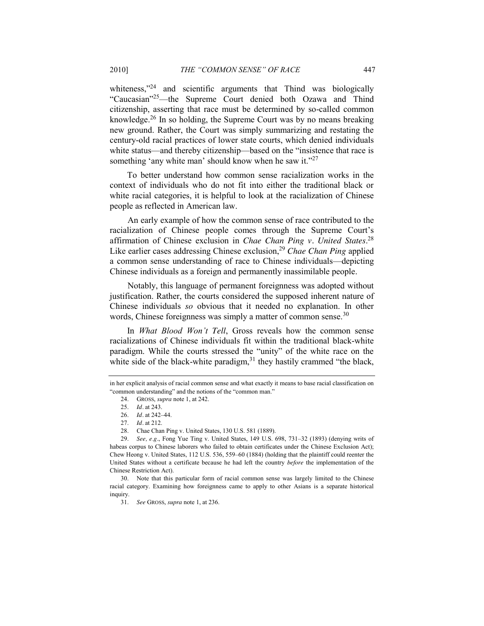whiteness," $24$  and scientific arguments that Thind was biologically "Caucasian"<sup>25</sup>—the Supreme Court denied both Ozawa and Thind citizenship, asserting that race must be determined by so-called common knowledge.<sup>26</sup> In so holding, the Supreme Court was by no means breaking new ground. Rather, the Court was simply summarizing and restating the century-old racial practices of lower state courts, which denied individuals white status—and thereby citizenship—based on the "insistence that race is something 'any white man' should know when he saw it."<sup>27</sup>

To better understand how common sense racialization works in the context of individuals who do not fit into either the traditional black or white racial categories, it is helpful to look at the racialization of Chinese people as reflected in American law.

An early example of how the common sense of race contributed to the racialization of Chinese people comes through the Supreme Court's affirmation of Chinese exclusion in *Chae Chan Ping v. United States*. 28 Like earlier cases addressing Chinese exclusion, <sup>29</sup> *Chae Chan Ping* applied a common sense understanding of race to Chinese individuals—depicting Chinese individuals as a foreign and permanently inassimilable people.

Notably, this language of permanent foreignness was adopted without justification. Rather, the courts considered the supposed inherent nature of Chinese individuals *so* obvious that it needed no explanation. In other words, Chinese foreignness was simply a matter of common sense.<sup>30</sup>

In *What Blood Won't Tell*, Gross reveals how the common sense racializations of Chinese individuals fit within the traditional black-white paradigm. While the courts stressed the "unity" of the white race on the white side of the black-white paradigm,  $31$  they hastily crammed "the black,

in her explicit analysis of racial common sense and what exactly it means to base racial classification on "common understanding" and the notions of the "common man."

<sup>24.</sup> GROSS, *supra* not[e 1,](#page-0-0) at 242.

<sup>25.</sup> *Id.* at 243.

<sup>26.</sup> *Id.* at 242–44.

<sup>27.</sup> *Id.* at 212.

<sup>28.</sup> Chae Chan Ping v. United States, 130 U.S. 581 (1889).

<sup>29.</sup> *See, e.g.*, Fong Yue Ting v. United States, 149 U.S. 698, 731–32 (1893) (denying writs of habeas corpus to Chinese laborers who failed to obtain certificates under the Chinese Exclusion Act); Chew Heong v. United States, 112 U.S. 536, 559–60 (1884) (holding that the plaintiff could reenter the United States without a certificate because he had left the country *before* the implementation of the Chinese Restriction Act).

<sup>30.</sup> Note that this particular form of racial common sense was largely limited to the Chinese racial category. Examining how foreignness came to apply to other Asians is a separate historical inquiry.

<sup>31.</sup> *See* GROSS, *supra* not[e 1,](#page-0-0) at 236.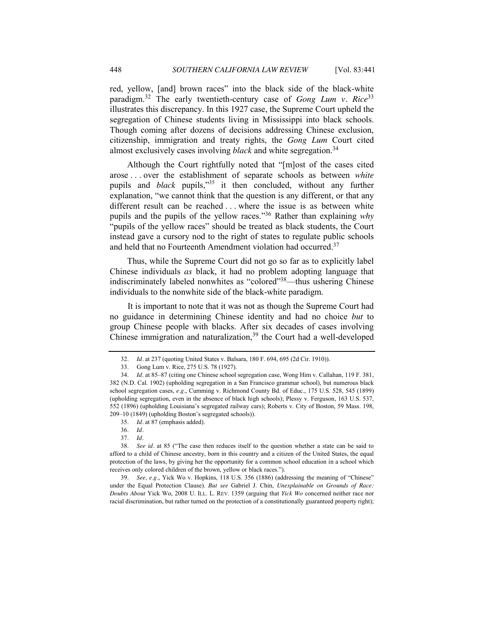red, yellow, [and] brown races" into the black side of the black-white paradigm.<sup>32</sup> The early twentieth-century case of *Gong Lum v. Rice*<sup>33</sup> illustrates this discrepancy. In this 1927 case, the Supreme Court upheld the segregation of Chinese students living in Mississippi into black schools. Though coming after dozens of decisions addressing Chinese exclusion, citizenship, immigration and treaty rights, the *Gong Lum* Court cited almost exclusively cases involving *black* and white segregation.<sup>34</sup>

Although the Court rightfully noted that "[m]ost of the cases cited arose . . . over the establishment of separate schools as between *white* pupils and *black* pupils,<sup>35</sup> it then concluded, without any further explanation, "we cannot think that the question is any different, or that any different result can be reached . . . where the issue is as between white pupils and the pupils of the yellow races.<sup>356</sup> Rather than explaining *why* "pupils of the yellow races" should be treated as black students, the Court instead gave a cursory nod to the right of states to regulate public schools and held that no Fourteenth Amendment violation had occurred.<sup>37</sup>

Thus, while the Supreme Court did not go so far as to explicitly label Chinese individuals *as* black, it had no problem adopting language that indiscriminately labeled nonwhites as "colored"<sup>38</sup>—thus ushering Chinese individuals to the nonwhite side of the black-white paradigm.

It is important to note that it was not as though the Supreme Court had no guidance in determining Chinese identity and had no choice *but* to group Chinese people with blacks. After six decades of cases involving Chinese immigration and naturalization, $39$  the Court had a well-developed

<sup>32.</sup> *Id.* at 237 (quoting United States v. Balsara, 180 F. 694, 695 (2d Cir. 1910)).

<sup>33.</sup> Gong Lum v. Rice, 275 U.S. 78 (1927).

<sup>34.</sup> *Id.* at 85–87 (citing one Chinese school segregation case, Wong Him v. Callahan, 119 F. 381, 382 (N.D. Cal. 1902) (upholding segregation in a San Francisco grammar school), but numerous black school segregation cases, *e.g.*, Cumming v. Richmond County Bd. of Educ., 175 U.S. 528, 545 (1899) (upholding segregation, even in the absence of black high schools); Plessy v. Ferguson, 163 U.S. 537, 552 (1896) (upholding Louisiana's segregated railway cars); Roberts v. City of Boston, 59 Mass. 198, 209–10 (1849) (upholding Boston's segregated schools)).

<sup>35.</sup> *Id.* at 87 (emphasis added).

<sup>36.</sup> *Id.*

<sup>37.</sup> *Id.*

<sup>38.</sup> *See id.* at 85 ("The case then reduces itself to the question whether a state can be said to afford to a child of Chinese ancestry, born in this country and a citizen of the United States, the equal protection of the laws, by giving her the opportunity for a common school education in a school which receives only colored children of the brown, yellow or black races.").

<sup>39.</sup> *See, e.g.*, Yick Wo v. Hopkins, 118 U.S. 356 (1886) (addressing the meaning of "Chinese" under the Equal Protection Clause). *But see* Gabriel J. Chin, *Unexplainable on Grounds of Race: Doubts About* Yick Wo, 2008 U. ILL. L. REV. 1359 (arguing that *Yick Wo* concerned neither race nor racial discrimination, but rather turned on the protection of a constitutionally guaranteed property right);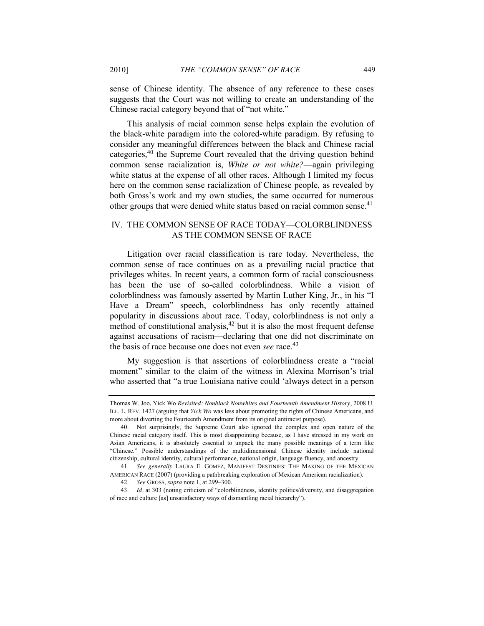sense of Chinese identity. The absence of any reference to these cases suggests that the Court was not willing to create an understanding of the Chinese racial category beyond that of "not white."

This analysis of racial common sense helps explain the evolution of the black-white paradigm into the colored-white paradigm. By refusing to consider any meaningful differences between the black and Chinese racial categories,40 the Supreme Court revealed that the driving question behind common sense racialization is, *White or not white?*—again privileging white status at the expense of all other races. Although I limited my focus here on the common sense racialization of Chinese people, as revealed by both Gross's work and my own studies, the same occurred for numerous other groups that were denied white status based on racial common sense.<sup>41</sup>

### IV. THE COMMON SENSE OF RACE TODAY—COLORBLINDNESS AS THE COMMON SENSE OF RACE

Litigation over racial classification is rare today. Nevertheless, the common sense of race continues on as a prevailing racial practice that privileges whites. In recent years, a common form of racial consciousness has been the use of so-called colorblindness. While a vision of colorblindness was famously asserted by Martin Luther King, Jr., in his "I Have a Dream" speech, colorblindness has only recently attained popularity in discussions about race. Today, colorblindness is not only a method of constitutional analysis, $42$  but it is also the most frequent defense against accusations of racism—declaring that one did not discriminate on the basis of race because one does not even *see* race. 43

My suggestion is that assertions of colorblindness create a "racial moment" similar to the claim of the witness in Alexina Morrison's trial who asserted that "a true Louisiana native could 'always detect in a person

Thomas W. Joo, Yick Wo *Revisited: Nonblack Nonwhites and Fourteenth Amendment History*, 2008 U. ILL. L. REV. 1427 (arguing that *Yick Wo* was less about promoting the rights of Chinese Americans, and more about diverting the Fourteenth Amendment from its original antiracist purpose).

<sup>40.</sup> Not surprisingly, the Supreme Court also ignored the complex and open nature of the Chinese racial category itself. This is most disappointing because, as I have stressed in my work on Asian Americans, it is absolutely essential to unpack the many possible meanings of a term like ―Chinese.‖ Possible understandings of the multidimensional Chinese identity include national citizenship, cultural identity, cultural performance, national origin, language fluency, and ancestry.

<sup>41.</sup> *See generally* LAURA E. GÓMEZ, MANIFEST DESTINIES: THE MAKING OF THE MEXICAN AMERICAN RACE (2007) (providing a pathbreaking exploration of Mexican American racialization).

<sup>42.</sup> *See* GROSS, *supra* not[e 1,](#page-0-0) at 299–300.

<sup>43.</sup> *Id.* at 303 (noting criticism of "colorblindness, identity politics/diversity, and disaggregation of race and culture [as] unsatisfactory ways of dismantling racial hierarchy").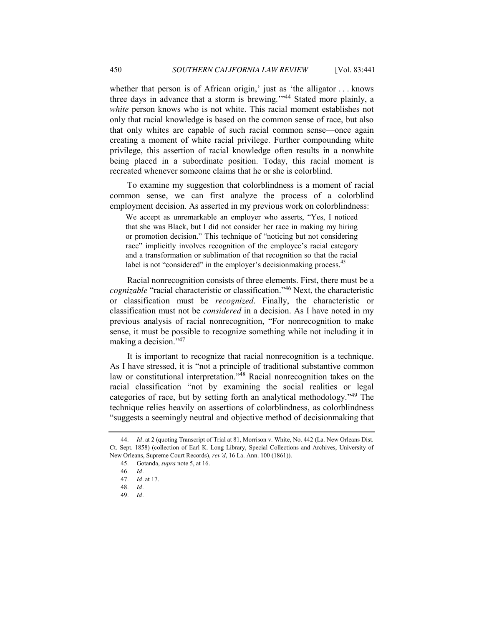whether that person is of African origin,' just as 'the alligator  $\dots$  knows three days in advance that a storm is brewing.<sup> $144$ </sup> Stated more plainly, a *white* person knows who is not white. This racial moment establishes not only that racial knowledge is based on the common sense of race, but also that only whites are capable of such racial common sense—once again creating a moment of white racial privilege. Further compounding white privilege, this assertion of racial knowledge often results in a nonwhite being placed in a subordinate position. Today, this racial moment is recreated whenever someone claims that he or she is colorblind.

To examine my suggestion that colorblindness is a moment of racial common sense, we can first analyze the process of a colorblind employment decision. As asserted in my previous work on colorblindness:

We accept as unremarkable an employer who asserts, "Yes, I noticed that she was Black, but I did not consider her race in making my hiring or promotion decision." This technique of "noticing but not considering race" implicitly involves recognition of the employee's racial category and a transformation or sublimation of that recognition so that the racial label is not "considered" in the employer's decisionmaking process.<sup>45</sup>

Racial nonrecognition consists of three elements. First, there must be a *cognizable* "racial characteristic or classification."<sup>46</sup> Next, the characteristic or classification must be *recognized*. Finally, the characteristic or classification must not be *considered* in a decision. As I have noted in my previous analysis of racial nonrecognition, "For nonrecognition to make sense, it must be possible to recognize something while not including it in making a decision." $47$ 

It is important to recognize that racial nonrecognition is a technique. As I have stressed, it is "not a principle of traditional substantive common law or constitutional interpretation.<sup> $\frac{48}{4}$ </sup> Racial nonrecognition takes on the racial classification "not by examining the social realities or legal categories of race, but by setting forth an analytical methodology.<sup> $49$ </sup> The technique relies heavily on assertions of colorblindness, as colorblindness ―suggests a seemingly neutral and objective method of decisionmaking that

<sup>44.</sup> *Id.* at 2 (quoting Transcript of Trial at 81, Morrison v. White, No. 442 (La. New Orleans Dist. Ct. Sept. 1858) (collection of Earl K. Long Library, Special Collections and Archives, University of New Orleans, Supreme Court Records), *rev'd*, 16 La. Ann. 100 (1861)).

<sup>45.</sup> Gotanda, *supra* not[e 5,](#page-2-0) at 16.

<sup>46.</sup> *Id.*

<sup>47.</sup> *Id.* at 17.

<sup>48.</sup> *Id.*

<sup>49.</sup> *Id.*